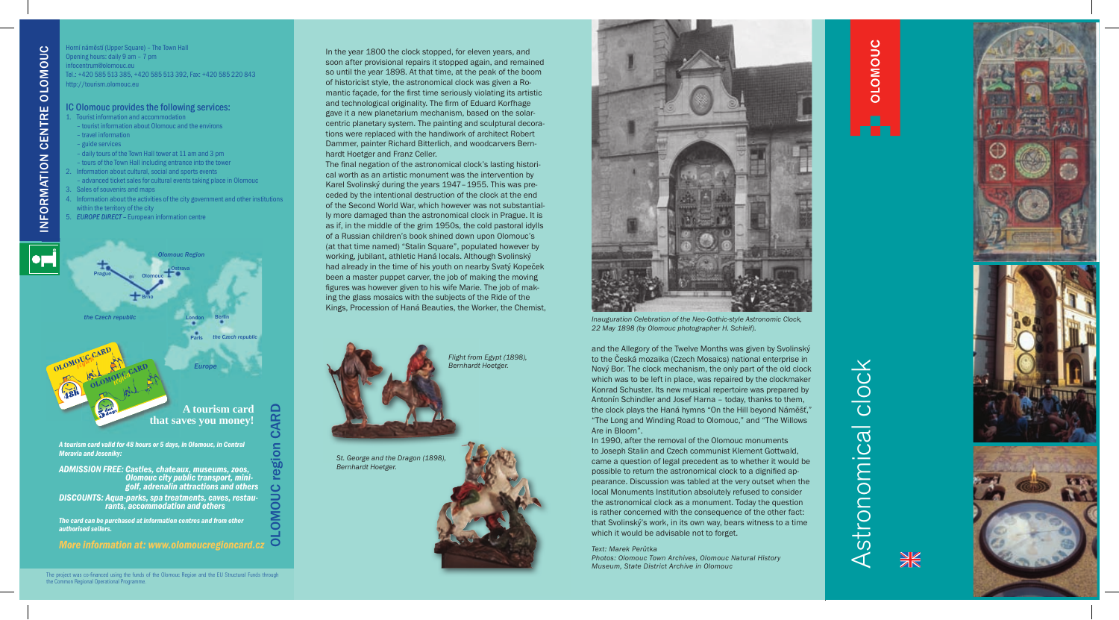

*Inauguration Celebration of the Neo-Gothic-style Astronomic Clock, 22 May 1898 (by Olomouc photographer H. Schleif).*

In the year 1800 the clock stopped, for eleven years, and soon after provisional repairs it stopped again, and remained so until the year 1898. At that time, at the peak of the boom of historicist style, the astronomical clock was given a Romantic facade, for the first time seriously violating its artistic and technological originality. The firm of Eduard Korfhage gave it a new planetarium mechanism, based on the solarcentric planetary system. The painting and sculptural decorations were replaced with the handiwork of architect Robert Dammer, painter Richard Bitterlich, and woodcarvers Bernhardt Hoetger and Franz Celler.

The final negation of the astronomical clock's lasting historical worth as an artistic monument was the intervention by Karel Svolinský during the years 1947–1955. This was preceded by the intentional destruction of the clock at the end of the Second World War, which however was not substantially more damaged than the astronomical clock in Prague. It is as if, in the middle of the grim 1950s, the cold pastoral idylls of a Russian children's book shined down upon Olomouc's (at that time named) "Stalin Square", populated however by working, jubilant, athletic Haná locals. Although Svolinský had already in the time of his youth on nearby Svatý Kopeček been a master puppet carver, the job of making the moving figures was however given to his wife Marie. The job of making the glass mosaics with the subjects of the Ride of the Kings, Procession of Haná Beauties, the Worker, the Chemist,



- 1. Tourist information and accommodation – tourist information about Olomouc and the environs
- travel information
- 
- guide services
- daily tours of the Town Hall tower at 11 am and 3 pm
- tours of the Town Hall including entrance into the tower
- 2. Information about cultural, social and sports events
- advanced ticket sales for cultural events taking place in Olomouc Sales of souvenirs and maps
- 
- 4. Information about the activities of the city government and other institutions within the territory of the city
- **EUROPE DIRECT European information centre**

and the Allegory of the Twelve Months was given by Svolinský to the Česká mozaika (Czech Mosaics) national enterprise in Nový Bor. The clock mechanism, the only part of the old clock which was to be left in place, was repaired by the clockmaker Konrad Schuster. Its new musical repertoire was prepared by Antonín Schindler and Josef Harna – today, thanks to them, the clock plays the Haná hymns "On the Hill beyond Náměšť," "The Long and Winding Road to Olomouc," and "The Willows Are in Bloom".







The project was co-financed using the funds of the Olomouc Region and the EU Structural Funds through the Common Regional Operational Programme.

In 1990, after the removal of the Olomouc monuments to Joseph Stalin and Czech communist Klement Gottwald, came a question of legal precedent as to whether it would be possible to return the astronomical clock to a dignified appearance. Discussion was tabled at the very outset when the local Monuments Institution absolutely refused to consider the astronomical clock as a monument. Today the question is rather concerned with the consequence of the other fact: that Svolinský's work, in its own way, bears witness to a time which it would be advisable not to forget.

## *Text: Marek Perůtka*

*Photos: Olomouc Town Archives, Olomouc Natural History Museum, State District Archive in Olomouc*

*Flight from Egypt (1898), Bernhardt Hoetger.*

*St. George and the Dragon (1898), Bernhardt Hoetger.*

## IC Olomouc provides the following services:

Horní náměstí (Upper Square) – The Town Hall Opening hours: daily 9 am – 7 pm infocentrum@olomouc.eu Tel.: +420 585 513 385, +420 585 513 392, Fax: +420 585 220 843 http://tourism.olomouc.eu



*The card can be purchased at information centres and from other authorised sellers.*

*More information at: www.olomoucregioncard.cz*